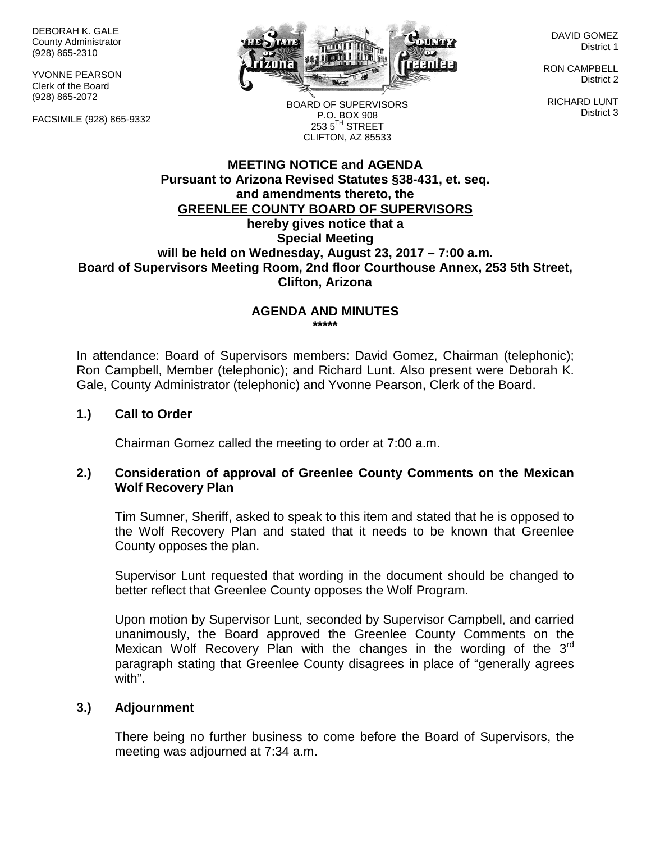DEBORAH K. GALE County Administrator (928) 865-2310

YVONNE PEARSON Clerk of the Board (928) 865-2072

FACSIMILE (928) 865-9332



DAVID GOMEZ District 1

RON CAMPBELL District 2

RICHARD LUNT District 3

BOARD OF SUPERVISORS P.O. BOX 908  $253.5$ <sup>TH</sup> STREET CLIFTON, AZ 85533

# **MEETING NOTICE and AGENDA Pursuant to Arizona Revised Statutes §38-431, et. seq. and amendments thereto, the GREENLEE COUNTY BOARD OF SUPERVISORS hereby gives notice that a Special Meeting will be held on Wednesday, August 23, 2017 – 7:00 a.m. Board of Supervisors Meeting Room, 2nd floor Courthouse Annex, 253 5th Street, Clifton, Arizona**

#### **AGENDA AND MINUTES \*\*\*\*\***

In attendance: Board of Supervisors members: David Gomez, Chairman (telephonic); Ron Campbell, Member (telephonic); and Richard Lunt. Also present were Deborah K. Gale, County Administrator (telephonic) and Yvonne Pearson, Clerk of the Board.

### **1.) Call to Order**

Chairman Gomez called the meeting to order at 7:00 a.m.

## **2.) Consideration of approval of Greenlee County Comments on the Mexican Wolf Recovery Plan**

Tim Sumner, Sheriff, asked to speak to this item and stated that he is opposed to the Wolf Recovery Plan and stated that it needs to be known that Greenlee County opposes the plan.

Supervisor Lunt requested that wording in the document should be changed to better reflect that Greenlee County opposes the Wolf Program.

Upon motion by Supervisor Lunt, seconded by Supervisor Campbell, and carried unanimously, the Board approved the Greenlee County Comments on the Mexican Wolf Recovery Plan with the changes in the wording of the  $3<sup>rd</sup>$ paragraph stating that Greenlee County disagrees in place of "generally agrees with".

### **3.) Adjournment**

There being no further business to come before the Board of Supervisors, the meeting was adjourned at 7:34 a.m.